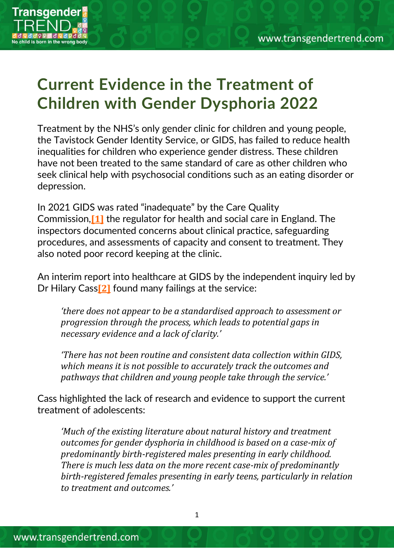

## **Current Evidence in the Treatment of Children with Gender Dysphoria 2022**

Treatment by the NHS's only gender clinic for children and young people, the Tavistock Gender Identity Service, or GIDS, has failed to reduce health inequalities for children who experience gender distress. These children have not been treated to the same standard of care as other children who seek clinical help with psychosocial conditions such as an eating disorder or depression.

In 2021 GIDS was rated "inadequate" by the Care Quality Commission,**[\[1\]](https://www.transgendertrend.com/current-evidence-part-2/?preview_id=22089&preview_nonce=22b5cba853&preview=true#_ftn1)** the regulator for health and social care in England. The inspectors documented concerns about clinical practice, safeguarding procedures, and assessments of capacity and consent to treatment. They also noted poor record keeping at the clinic.

An interim report into healthcare at GIDS by the independent inquiry led by Dr Hilary Cass**[\[2\]](https://www.transgendertrend.com/current-evidence-part-2/?preview_id=22089&preview_nonce=22b5cba853&preview=true#_ftn2)** found many failings at the service:

*'there does not appear to be a standardised approach to assessment or progression through the process, which leads to potential gaps in necessary evidence and a lack of clarity.'*

*'There has not been routine and consistent data collection within GIDS, which means it is not possible to accurately track the outcomes and pathways that children and young people take through the service.'*

Cass highlighted the lack of research and evidence to support the current treatment of adolescents:

*'Much of the existing literature about natural history and treatment outcomes for gender dysphoria in childhood is based on a case-mix of predominantly birth-registered males presenting in early childhood. There is much less data on the more recent case-mix of predominantly birth-registered females presenting in early teens, particularly in relation to treatment and outcomes.'*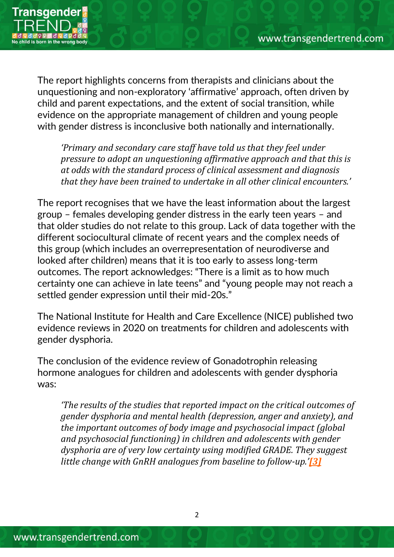

The report highlights concerns from therapists and clinicians about the unquestioning and non-exploratory 'affirmative' approach, often driven by child and parent expectations, and the extent of social transition, while evidence on the appropriate management of children and young people with gender distress is inconclusive both nationally and internationally.

*'Primary and secondary care staff have told us that they feel under pressure to adopt an unquestioning affirmative approach and that this is at odds with the standard process of clinical assessment and diagnosis that they have been trained to undertake in all other clinical encounters.'*

The report recognises that we have the least information about the largest group – females developing gender distress in the early teen years – and that older studies do not relate to this group. Lack of data together with the different sociocultural climate of recent years and the complex needs of this group (which includes an overrepresentation of neurodiverse and looked after children) means that it is too early to assess long-term outcomes. The report acknowledges: "There is a limit as to how much certainty one can achieve in late teens" and "young people may not reach a settled gender expression until their mid-20s."

The National Institute for Health and Care Excellence (NICE) published two evidence reviews in 2020 on treatments for children and adolescents with gender dysphoria.

The conclusion of the evidence review of Gonadotrophin releasing hormone analogues for children and adolescents with gender dysphoria was:

*'The results of the studies that reported impact on the critical outcomes of gender dysphoria and mental health (depression, anger and anxiety), and the important outcomes of body image and psychosocial impact (global and psychosocial functioning) in children and adolescents with gender dysphoria are of very low certainty using modified GRADE. They suggest little change with GnRH analogues from baseline to follow-up.'[\[3\]](https://www.transgendertrend.com/current-evidence-part-2/?preview_id=22089&preview_nonce=22b5cba853&preview=true#_ftn3)*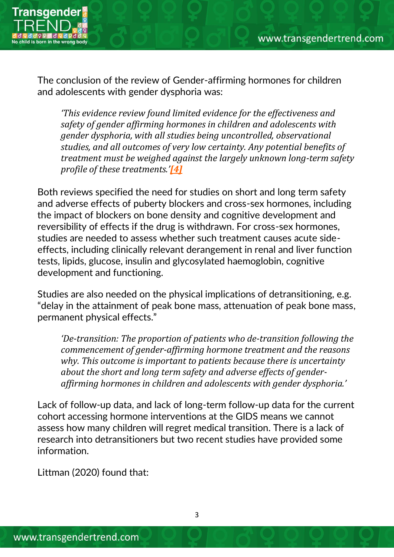

The conclusion of the review of Gender-affirming hormones for children and adolescents with gender dysphoria was:

*'This evidence review found limited evidence for the effectiveness and safety of gender affirming hormones in children and adolescents with gender dysphoria, with all studies being uncontrolled, observational studies, and all outcomes of very low certainty. Any potential benefits of treatment must be weighed against the largely unknown long-term safety profile of these treatments.'[\[4\]](https://www.transgendertrend.com/current-evidence-part-2/?preview_id=22089&preview_nonce=22b5cba853&preview=true#_ftn4)*

Both reviews specified the need for studies on short and long term safety and adverse effects of puberty blockers and cross-sex hormones, including the impact of blockers on bone density and cognitive development and reversibility of effects if the drug is withdrawn. For cross-sex hormones, studies are needed to assess whether such treatment causes acute sideeffects, including clinically relevant derangement in renal and liver function tests, lipids, glucose, insulin and glycosylated haemoglobin, cognitive development and functioning.

Studies are also needed on the physical implications of detransitioning, e.g. "delay in the attainment of peak bone mass, attenuation of peak bone mass, permanent physical effects."

*'De-transition: The proportion of patients who de-transition following the commencement of gender-affirming hormone treatment and the reasons why. This outcome is important to patients because there is uncertainty about the short and long term safety and adverse effects of genderaffirming hormones in children and adolescents with gender dysphoria.'*

Lack of follow-up data, and lack of long-term follow-up data for the current cohort accessing hormone interventions at the GIDS means we cannot assess how many children will regret medical transition. There is a lack of research into detransitioners but two recent studies have provided some information.

Littman (2020) found that: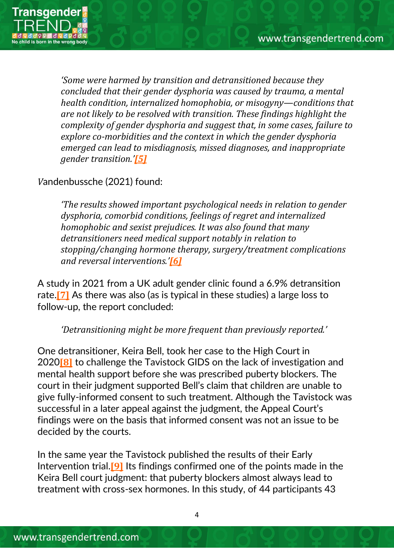

*'Some were harmed by transition and detransitioned because they concluded that their gender dysphoria was caused by trauma, a mental health condition, internalized homophobia, or misogyny—conditions that are not likely to be resolved with transition. These findings highlight the complexity of gender dysphoria and suggest that, in some cases, failure to explore co-morbidities and the context in which the gender dysphoria emerged can lead to misdiagnosis, missed diagnoses, and inappropriate gender transition.'[\[5\]](https://www.transgendertrend.com/current-evidence-part-2/?preview_id=22089&preview_nonce=22b5cba853&preview=true#_ftn5)*

## *V*andenbussche (2021) found:

*'The results showed important psychological needs in relation to gender dysphoria, comorbid conditions, feelings of regret and internalized homophobic and sexist prejudices. It was also found that many detransitioners need medical support notably in relation to stopping/changing hormone therapy, surgery/treatment complications and reversal interventions.'[\[6\]](https://www.transgendertrend.com/current-evidence-part-2/?preview_id=22089&preview_nonce=22b5cba853&preview=true#_ftn6)*

A study in 2021 from a UK adult gender clinic found a 6.9% detransition rate.**[\[7\]](https://www.transgendertrend.com/current-evidence-part-2/?preview_id=22089&preview_nonce=22b5cba853&preview=true#_ftn7)** As there was also (as is typical in these studies) a large loss to follow-up, the report concluded:

## *'Detransitioning might be more frequent than previously reported.'*

One detransitioner, Keira Bell, took her case to the High Court in 2020**[\[8\]](https://www.transgendertrend.com/current-evidence-part-2/?preview_id=22089&preview_nonce=22b5cba853&preview=true#_ftn8)** to challenge the Tavistock GIDS on the lack of investigation and mental health support before she was prescribed puberty blockers. The court in their judgment supported Bell's claim that children are unable to give fully-informed consent to such treatment. Although the Tavistock was successful in a later appeal against the judgment, the Appeal Court's findings were on the basis that informed consent was not an issue to be decided by the courts.

In the same year the Tavistock published the results of their Early Intervention trial.**[\[9\]](https://www.transgendertrend.com/current-evidence-part-2/?preview_id=22089&preview_nonce=22b5cba853&preview=true#_ftn9)** Its findings confirmed one of the points made in the Keira Bell court judgment: that puberty blockers almost always lead to treatment with cross-sex hormones. In this study, of 44 participants 43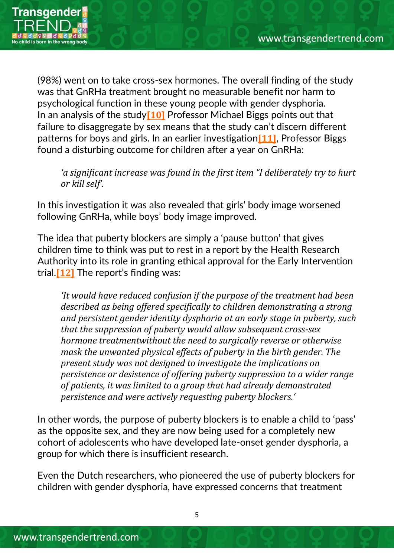

(98%) went on to take cross-sex hormones. The overall finding of the study was that GnRHa treatment brought no measurable benefit nor harm to psychological function in these young people with gender dysphoria. In an analysis of the study**[\[10\]](https://www.transgendertrend.com/current-evidence-part-2/?preview_id=22089&preview_nonce=22b5cba853&preview=true#_ftn10)** Professor Michael Biggs points out that failure to disaggregate by sex means that the study can't discern different patterns for boys and girls. In an earlier investigation**[\[11\]](https://www.transgendertrend.com/current-evidence-part-2/?preview_id=22089&preview_nonce=22b5cba853&preview=true#_ftn11)**, Professor Biggs found a disturbing outcome for children after a year on GnRHa:

*'a significant increase was found in the first item "I deliberately try to hurt or kill self'.*

In this investigation it was also revealed that girls' body image worsened following GnRHa, while boys' body image improved.

The idea that puberty blockers are simply a 'pause button' that gives children time to think was put to rest in a report by the Health Research Authority into its role in granting ethical approval for the Early Intervention trial.**[\[12\]](https://www.transgendertrend.com/current-evidence-part-2/?preview_id=22089&preview_nonce=22b5cba853&preview=true#_ftn12)** The report's finding was:

*'It would have reduced confusion if the purpose of the treatment had been described as being offered specifically to children demonstrating a strong and persistent gender identity dysphoria at an early stage in puberty, such that the suppression of puberty would allow subsequent cross-sex hormone treatmentwithout the need to surgically reverse or otherwise mask the unwanted physical effects of puberty in the birth gender. The present study was not designed to investigate the implications on persistence or desistence of offering puberty suppression to a wider range of patients, it was limited to a group that had already demonstrated persistence and were actively requesting puberty blockers.'*

In other words, the purpose of puberty blockers is to enable a child to 'pass' as the opposite sex, and they are now being used for a completely new cohort of adolescents who have developed late-onset gender dysphoria, a group for which there is insufficient research.

Even the Dutch researchers, who pioneered the use of puberty blockers for children with gender dysphoria, have expressed concerns that treatment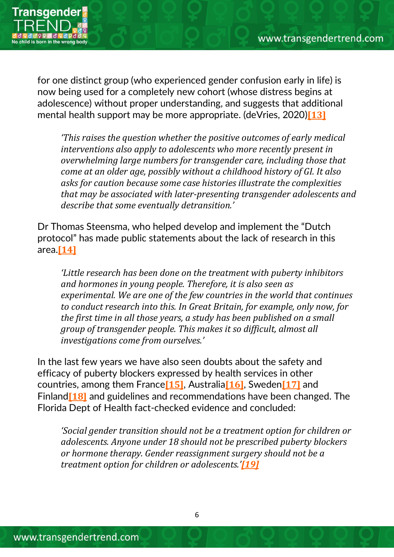

for one distinct group (who experienced gender confusion early in life) is now being used for a completely new cohort (whose distress begins at adolescence) without proper understanding, and suggests that additional mental health support may be more appropriate. (deVries, 2020)**[\[13\]](https://www.transgendertrend.com/current-evidence-part-2/?preview_id=22089&preview_nonce=22b5cba853&preview=true#_ftn13)**

*'This raises the question whether the positive outcomes of early medical interventions also apply to adolescents who more recently present in overwhelming large numbers for transgender care, including those that come at an older age, possibly without a childhood history of GI. It also asks for caution because some case histories illustrate the complexities that may be associated with later-presenting transgender adolescents and describe that some eventually detransition.'*

Dr Thomas Steensma, who helped develop and implement the "Dutch protocol" has made public statements about the lack of research in this area.**[\[14\]](https://www.transgendertrend.com/current-evidence-part-2/?preview_id=22089&preview_nonce=22b5cba853&preview=true#_ftn14)**

*'Little research has been done on the treatment with puberty inhibitors and hormones in young people. Therefore, it is also seen as experimental. We are one of the few countries in the world that continues to conduct research into this. In Great Britain, for example, only now, for the first time in all those years, a study has been published on a small group of transgender people. This makes it so difficult, almost all investigations come from ourselves.'*

In the last few years we have also seen doubts about the safety and efficacy of puberty blockers expressed by health services in other countries, among them France**[\[15\]](https://www.transgendertrend.com/current-evidence-part-2/?preview_id=22089&preview_nonce=22b5cba853&preview=true#_ftn15)**, Australia**[\[16\]](https://www.transgendertrend.com/current-evidence-part-2/?preview_id=22089&preview_nonce=22b5cba853&preview=true#_ftn16)**, Sweden**[\[17\]](https://www.transgendertrend.com/current-evidence-part-2/?preview_id=22089&preview_nonce=22b5cba853&preview=true#_ftn17)** and Finland**[\[18\]](https://www.transgendertrend.com/current-evidence-part-2/?preview_id=22089&preview_nonce=22b5cba853&preview=true#_ftn18)** and guidelines and recommendations have been changed. The Florida Dept of Health fact-checked evidence and concluded:

*'Social gender transition should not be a treatment option for children or adolescents. Anyone under 18 should not be prescribed puberty blockers or hormone therapy. Gender reassignment surgery should not be a treatment option for children or adolescents.'[\[19\]](https://www.transgendertrend.com/current-evidence-part-2/?preview_id=22089&preview_nonce=22b5cba853&preview=true#_ftn19)*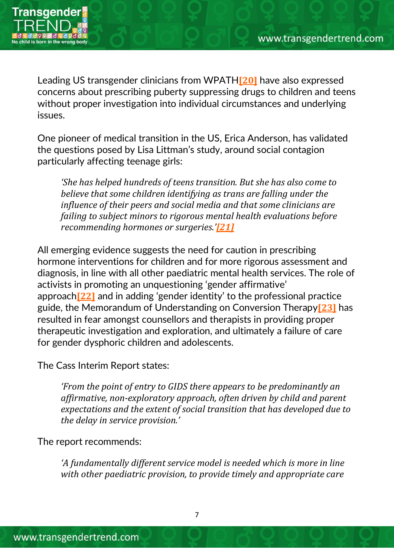

Leading US transgender clinicians from WPATH**[\[20\]](https://www.transgendertrend.com/current-evidence-part-2/?preview_id=22089&preview_nonce=22b5cba853&preview=true#_ftn20)** have also expressed concerns about prescribing puberty suppressing drugs to children and teens without proper investigation into individual circumstances and underlying issues.

One pioneer of medical transition in the US, Erica Anderson, has validated the questions posed by Lisa Littman's study, around social contagion particularly affecting teenage girls:

*'She has helped hundreds of teens transition. But she has also come to believe that some children identifying as trans are falling under the influence of their peers and social media and that some clinicians are failing to subject minors to rigorous mental health evaluations before recommending hormones or surgeries.'[\[21\]](https://www.transgendertrend.com/current-evidence-part-2/?preview_id=22089&preview_nonce=22b5cba853&preview=true#_ftn21)*

All emerging evidence suggests the need for caution in prescribing hormone interventions for children and for more rigorous assessment and diagnosis, in line with all other paediatric mental health services. The role of activists in promoting an unquestioning 'gender affirmative' approach**[\[22\]](https://www.transgendertrend.com/current-evidence-part-2/?preview_id=22089&preview_nonce=22b5cba853&preview=true#_ftn22)** and in adding 'gender identity' to the professional practice guide, the Memorandum of Understanding on Conversion Therapy**[\[23\]](https://www.transgendertrend.com/current-evidence-part-2/?preview_id=22089&preview_nonce=22b5cba853&preview=true#_ftn23)** has resulted in fear amongst counsellors and therapists in providing proper therapeutic investigation and exploration, and ultimately a failure of care for gender dysphoric children and adolescents.

The Cass Interim Report states:

*'From the point of entry to GIDS there appears to be predominantly an affirmative, non-exploratory approach, often driven by child and parent expectations and the extent of social transition that has developed due to the delay in service provision.'*

The report recommends:

*'A fundamentally different service model is needed which is more in line with other paediatric provision, to provide timely and appropriate care*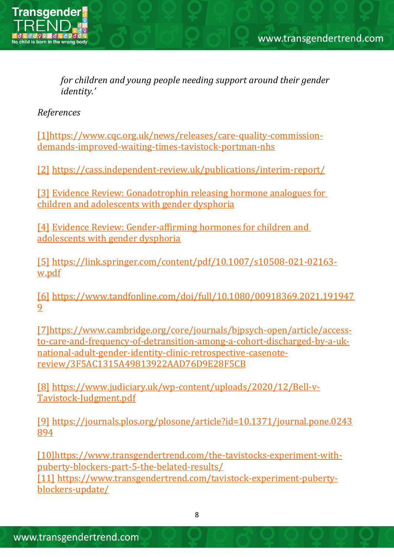

*for children and young people needing support around their gender identity.'*

*References*

[1]https://www.cqc.org.uk/news/releases/care-quality-commissiondemands-improved-waiting-times-tavistock-portman-nhs

[2] https://cass.independent-review.uk/publications/interim-report/

[3] Evidence Review: Gonadotrophin releasing hormone analogues for children and adolescents with gender dysphoria

[4] Evidence Review: Gender-affirming hormones for children and adolescents with gender dysphoria

[5] https://link.springer.com/content/pdf/10.1007/s10508-021-02163 w.pdf

[6] https://www.tandfonline.com/doi/full/10.1080/00918369.2021.191947 9

[7]https://www.cambridge.org/core/journals/bjpsych-open/article/accessto-care-and-frequency-of-detransition-among-a-cohort-discharged-by-a-uknational-adult-gender-identity-clinic-retrospective-casenotereview/3F5AC1315A49813922AAD76D9E28F5CB

[8] https://www.judiciary.uk/wp-content/uploads/2020/12/Bell-v-Tavistock-Judgment.pdf

[9] https://journals.plos.org/plosone/article?id=10.1371/journal.pone.0243 894

[10]https://www.transgendertrend.com/the-tavistocks-experiment-withpuberty-blockers-part-5-the-belated-results/ [11] https://www.transgendertrend.com/tavistock-experiment-puberty-

blockers-update/

8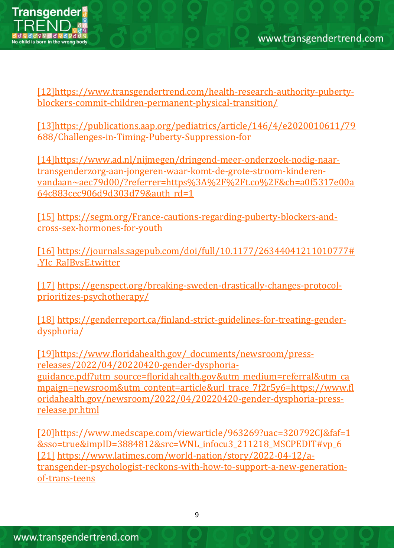

[12]https://www.transgendertrend.com/health-research-authority-pubertyblockers-commit-children-permanent-physical-transition/

[13]https://publications.aap.org/pediatrics/article/146/4/e2020010611/79 688/Challenges-in-Timing-Puberty-Suppression-for

[14]https://www.ad.nl/nijmegen/dringend-meer-onderzoek-nodig-naartransgenderzorg-aan-jongeren-waar-komt-de-grote-stroom-kinderenvandaan~aec79d00/?referrer=https%3A%2F%2Ft.co%2F&cb=a0f5317e00a 64c883cec906d9d303d79&auth\_rd=1

[15] https://segm.org/France-cautions-regarding-puberty-blockers-andcross-sex-hormones-for-youth

[16] https://journals.sagepub.com/doi/full/10.1177/26344041211010777# .YIc\_RaJBvsE.twitter

[17] https://genspect.org/breaking-sweden-drastically-changes-protocolprioritizes-psychotherapy/

[18] https://genderreport.ca/finland-strict-guidelines-for-treating-genderdysphoria/

[19]https://www.floridahealth.gov/\_documents/newsroom/pressreleases/2022/04/20220420-gender-dysphoriaguidance.pdf?utm\_source=floridahealth.gov&utm\_medium=referral&utm\_ca mpaign=newsroom&utm\_content=article&url\_trace\_7f2r5y6=https://www.fl oridahealth.gov/newsroom/2022/04/20220420-gender-dysphoria-pressrelease.pr.html

[20]https://www.medscape.com/viewarticle/963269?uac=320792CJ&faf=1 &sso=true&impID=3884812&src=WNL\_infocu3\_211218\_MSCPEDIT#vp\_6 [21] https://www.latimes.com/world-nation/story/2022-04-12/atransgender-psychologist-reckons-with-how-to-support-a-new-generationof-trans-teens